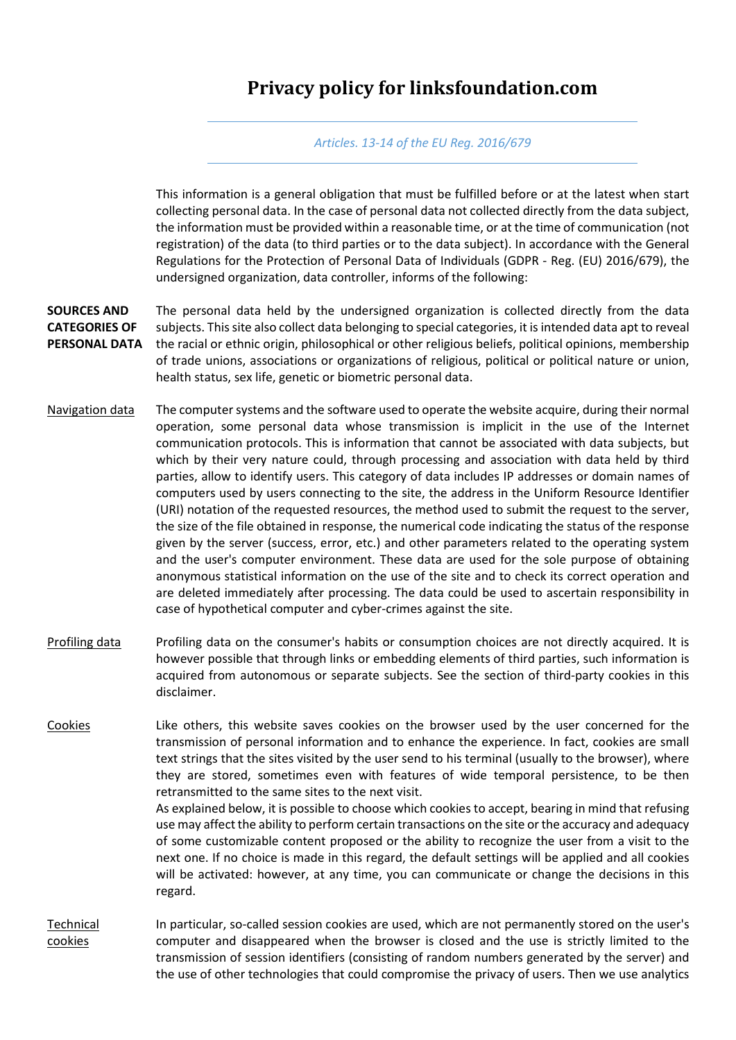## **Privacy policy for linksfoundation.com**

## *Articles. 13-14 of the EU Reg. 2016/679*

This information is a general obligation that must be fulfilled before or at the latest when start collecting personal data. In the case of personal data not collected directly from the data subject, the information must be provided within a reasonable time, or at the time of communication (not registration) of the data (to third parties or to the data subject). In accordance with the General Regulations for the Protection of Personal Data of Individuals (GDPR - Reg. (EU) 2016/679), the undersigned organization, data controller, informs of the following:

**SOURCES AND CATEGORIES OF PERSONAL DATA**  The personal data held by the undersigned organization is collected directly from the data subjects. This site also collect data belonging to special categories, it is intended data apt to reveal the racial or ethnic origin, philosophical or other religious beliefs, political opinions, membership of trade unions, associations or organizations of religious, political or political nature or union, health status, sex life, genetic or biometric personal data.

- Navigation data The computer systems and the software used to operate the website acquire, during their normal operation, some personal data whose transmission is implicit in the use of the Internet communication protocols. This is information that cannot be associated with data subjects, but which by their very nature could, through processing and association with data held by third parties, allow to identify users. This category of data includes IP addresses or domain names of computers used by users connecting to the site, the address in the Uniform Resource Identifier (URI) notation of the requested resources, the method used to submit the request to the server, the size of the file obtained in response, the numerical code indicating the status of the response given by the server (success, error, etc.) and other parameters related to the operating system and the user's computer environment. These data are used for the sole purpose of obtaining anonymous statistical information on the use of the site and to check its correct operation and are deleted immediately after processing. The data could be used to ascertain responsibility in case of hypothetical computer and cyber-crimes against the site.
- Profiling data Profiling data on the consumer's habits or consumption choices are not directly acquired. It is however possible that through links or embedding elements of third parties, such information is acquired from autonomous or separate subjects. See the section of third-party cookies in this disclaimer.
- Cookies Like others, this website saves cookies on the browser used by the user concerned for the transmission of personal information and to enhance the experience. In fact, cookies are small text strings that the sites visited by the user send to his terminal (usually to the browser), where they are stored, sometimes even with features of wide temporal persistence, to be then retransmitted to the same sites to the next visit.

As explained below, it is possible to choose which cookies to accept, bearing in mind that refusing use may affect the ability to perform certain transactions on the site or the accuracy and adequacy of some customizable content proposed or the ability to recognize the user from a visit to the next one. If no choice is made in this regard, the default settings will be applied and all cookies will be activated: however, at any time, you can communicate or change the decisions in this regard.

Technical cookies In particular, so-called session cookies are used, which are not permanently stored on the user's computer and disappeared when the browser is closed and the use is strictly limited to the transmission of session identifiers (consisting of random numbers generated by the server) and the use of other technologies that could compromise the privacy of users. Then we use analytics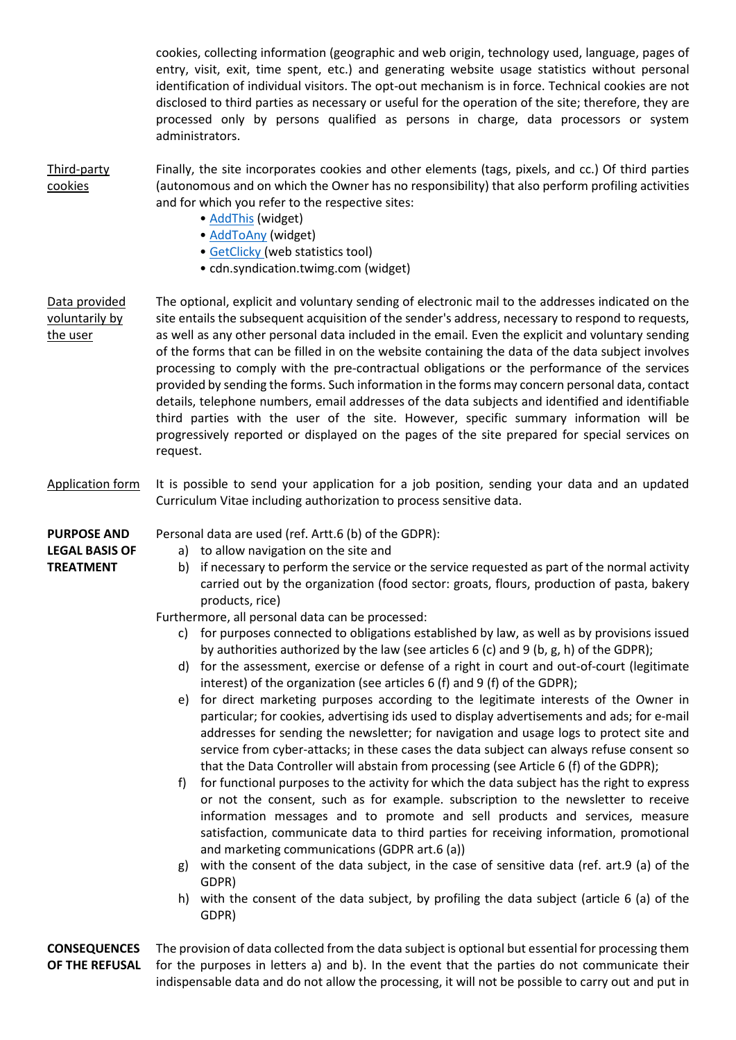cookies, collecting information (geographic and web origin, technology used, language, pages of entry, visit, exit, time spent, etc.) and generating website usage statistics without personal identification of individual visitors. The opt-out mechanism is in force. Technical cookies are not disclosed to third parties as necessary or useful for the operation of the site; therefore, they are processed only by persons qualified as persons in charge, data processors or system administrators.

Third-party cookies Finally, the site incorporates cookies and other elements (tags, pixels, and cc.) Of third parties (autonomous and on which the Owner has no responsibility) that also perform profiling activities and for which you refer to the respective sites:

- [AddThis](http://www.addthis.com/privacy) (widget)
- [AddToAny](https://www.addtoany.com/privacy) (widget)
- [GetClicky](https://clicky.com/terms/privacy) (web statistics tool)
- cdn.syndication.twimg.com (widget)
- Data provided voluntarily by the user The optional, explicit and voluntary sending of electronic mail to the addresses indicated on the site entails the subsequent acquisition of the sender's address, necessary to respond to requests, as well as any other personal data included in the email. Even the explicit and voluntary sending of the forms that can be filled in on the website containing the data of the data subject involves processing to comply with the pre-contractual obligations or the performance of the services provided by sending the forms. Such information in the forms may concern personal data, contact details, telephone numbers, email addresses of the data subjects and identified and identifiable third parties with the user of the site. However, specific summary information will be progressively reported or displayed on the pages of the site prepared for special services on request.
- Application form It is possible to send your application for a job position, sending your data and an updated Curriculum Vitae including authorization to process sensitive data.

**PURPOSE AND LEGAL BASIS OF** 

- **TREATMENT**
- Personal data are used (ref. Artt.6 (b) of the GDPR):
	- a) to allow navigation on the site and
	- b) if necessary to perform the service or the service requested as part of the normal activity carried out by the organization (food sector: groats, flours, production of pasta, bakery products, rice)

Furthermore, all personal data can be processed:

- c) for purposes connected to obligations established by law, as well as by provisions issued by authorities authorized by the law (see articles 6 (c) and 9 (b, g, h) of the GDPR);
- d) for the assessment, exercise or defense of a right in court and out-of-court (legitimate interest) of the organization (see articles 6 (f) and 9 (f) of the GDPR);
- e) for direct marketing purposes according to the legitimate interests of the Owner in particular; for cookies, advertising ids used to display advertisements and ads; for e-mail addresses for sending the newsletter; for navigation and usage logs to protect site and service from cyber-attacks; in these cases the data subject can always refuse consent so that the Data Controller will abstain from processing (see Article 6 (f) of the GDPR);
- f) for functional purposes to the activity for which the data subject has the right to express or not the consent, such as for example. subscription to the newsletter to receive information messages and to promote and sell products and services, measure satisfaction, communicate data to third parties for receiving information, promotional and marketing communications (GDPR art.6 (a))
- g) with the consent of the data subject, in the case of sensitive data (ref. art.9 (a) of the GDPR)
- h) with the consent of the data subject, by profiling the data subject (article 6 (a) of the GDPR)

 **CONSEQUENCES OF THE REFUSAL**  The provision of data collected from the data subject is optional but essential for processing them for the purposes in letters a) and b). In the event that the parties do not communicate their indispensable data and do not allow the processing, it will not be possible to carry out and put in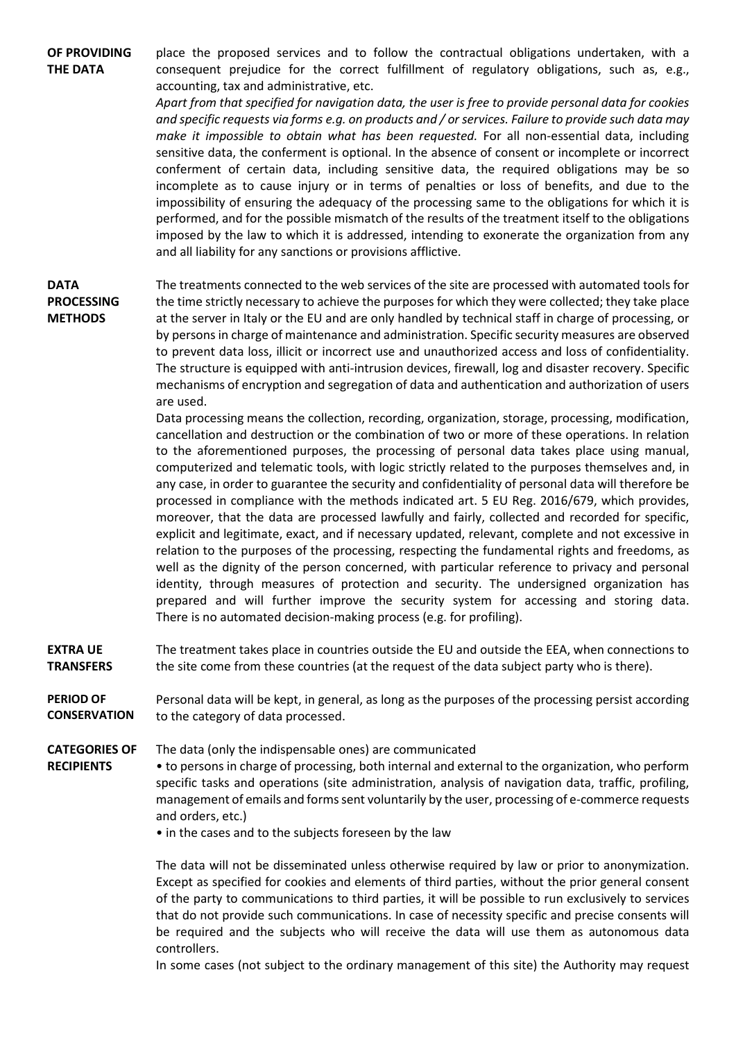**OF PROVIDING THE DATA** place the proposed services and to follow the contractual obligations undertaken, with a consequent prejudice for the correct fulfillment of regulatory obligations, such as, e.g., accounting, tax and administrative, etc.

> *Apart from that specified for navigation data, the user is free to provide personal data for cookies and specific requests via forms e.g. on products and / or services. Failure to provide such data may make it impossible to obtain what has been requested.* For all non-essential data, including sensitive data, the conferment is optional. In the absence of consent or incomplete or incorrect conferment of certain data, including sensitive data, the required obligations may be so incomplete as to cause injury or in terms of penalties or loss of benefits, and due to the impossibility of ensuring the adequacy of the processing same to the obligations for which it is performed, and for the possible mismatch of the results of the treatment itself to the obligations imposed by the law to which it is addressed, intending to exonerate the organization from any and all liability for any sanctions or provisions afflictive.

**DATA PROCESSING METHODS**

The treatments connected to the web services of the site are processed with automated tools for the time strictly necessary to achieve the purposes for which they were collected; they take place at the server in Italy or the EU and are only handled by technical staff in charge of processing, or by persons in charge of maintenance and administration. Specific security measures are observed to prevent data loss, illicit or incorrect use and unauthorized access and loss of confidentiality. The structure is equipped with anti-intrusion devices, firewall, log and disaster recovery. Specific mechanisms of encryption and segregation of data and authentication and authorization of users are used.

Data processing means the collection, recording, organization, storage, processing, modification, cancellation and destruction or the combination of two or more of these operations. In relation to the aforementioned purposes, the processing of personal data takes place using manual, computerized and telematic tools, with logic strictly related to the purposes themselves and, in any case, in order to guarantee the security and confidentiality of personal data will therefore be processed in compliance with the methods indicated art. 5 EU Reg. 2016/679, which provides, moreover, that the data are processed lawfully and fairly, collected and recorded for specific, explicit and legitimate, exact, and if necessary updated, relevant, complete and not excessive in relation to the purposes of the processing, respecting the fundamental rights and freedoms, as well as the dignity of the person concerned, with particular reference to privacy and personal identity, through measures of protection and security. The undersigned organization has prepared and will further improve the security system for accessing and storing data. There is no automated decision-making process (e.g. for profiling).

 **EXTRA UE TRANSFERS** The treatment takes place in countries outside the EU and outside the EEA, when connections to the site come from these countries (at the request of the data subject party who is there).

 **PERIOD OF CONSERVATION**  Personal data will be kept, in general, as long as the purposes of the processing persist according to the category of data processed.

 **CATEGORIES OF**  The data (only the indispensable ones) are communicated

**RECIPIENTS** • to persons in charge of processing, both internal and external to the organization, who perform specific tasks and operations (site administration, analysis of navigation data, traffic, profiling, management of emails and forms sent voluntarily by the user, processing of e-commerce requests and orders, etc.)

• in the cases and to the subjects foreseen by the law

The data will not be disseminated unless otherwise required by law or prior to anonymization. Except as specified for cookies and elements of third parties, without the prior general consent of the party to communications to third parties, it will be possible to run exclusively to services that do not provide such communications. In case of necessity specific and precise consents will be required and the subjects who will receive the data will use them as autonomous data controllers.

In some cases (not subject to the ordinary management of this site) the Authority may request